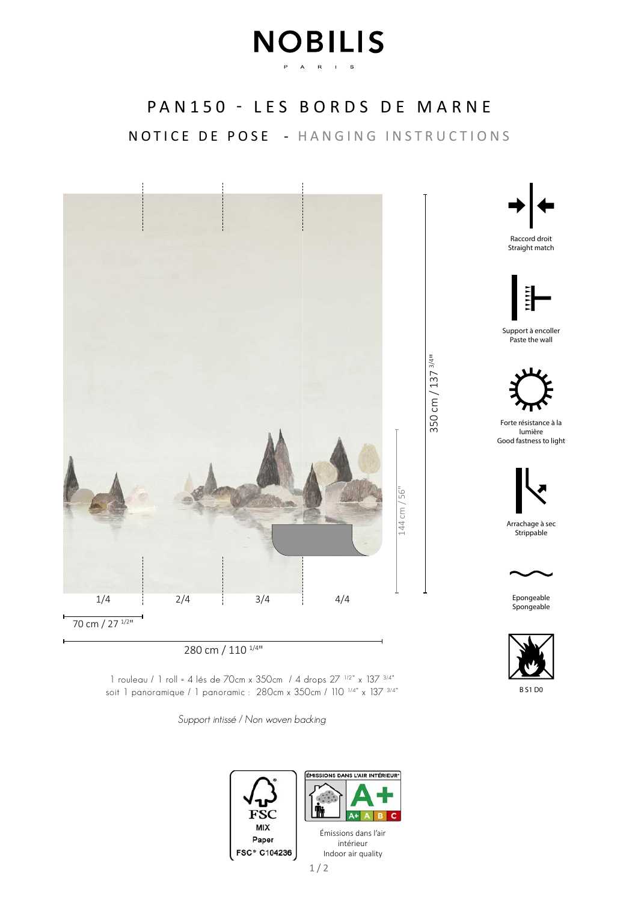## **NOBILIS** P A R I S

## PAN150 - LES BORDS DE MARNE

NOTICE DE POSE - HANGING INSTRUCTIONS



280 cm / 110 1/4"

1 rouleau / 1 roll = 4 lés de 70cm x 350cm / 4 drops 27 1/2" x 137 3/4" soit 1 panoramique / 1 panoramic : 280cm x 350cm / 110<sup>1/4"</sup> x 137<sup>3/4"</sup>

Support intissé / Non woven backing





Raccord droit Straight match



Support à encoller Paste the wall



350 cm / 137 3/4"

Forte résistance à la lumière Good fastness to light



Arrachage à sec Strippable



Epongeable **Spongeable** 



B S1 D0